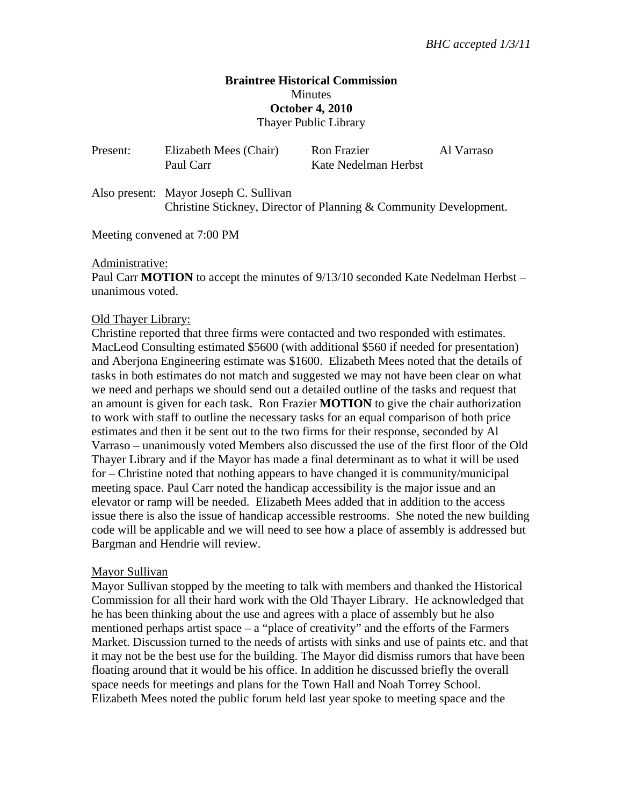## **Braintree Historical Commission Minutes October 4, 2010**  Thayer Public Library

| Present: | Elizabeth Mees (Chair)<br>Paul Carr                                                                         | <b>Ron Frazier</b><br>Kate Nedelman Herbst | Al Varraso |
|----------|-------------------------------------------------------------------------------------------------------------|--------------------------------------------|------------|
|          | Also present: Mayor Joseph C. Sullivan<br>Christine Stickney, Director of Planning & Community Development. |                                            |            |

Meeting convened at 7:00 PM

#### Administrative:

Paul Carr **MOTION** to accept the minutes of  $9/13/10$  seconded Kate Nedelman Herbst – unanimous voted.

#### Old Thayer Library:

Christine reported that three firms were contacted and two responded with estimates. MacLeod Consulting estimated \$5600 (with additional \$560 if needed for presentation) and Aberjona Engineering estimate was \$1600. Elizabeth Mees noted that the details of tasks in both estimates do not match and suggested we may not have been clear on what we need and perhaps we should send out a detailed outline of the tasks and request that an amount is given for each task. Ron Frazier **MOTION** to give the chair authorization to work with staff to outline the necessary tasks for an equal comparison of both price estimates and then it be sent out to the two firms for their response, seconded by Al Varraso – unanimously voted Members also discussed the use of the first floor of the Old Thayer Library and if the Mayor has made a final determinant as to what it will be used for – Christine noted that nothing appears to have changed it is community/municipal meeting space. Paul Carr noted the handicap accessibility is the major issue and an elevator or ramp will be needed. Elizabeth Mees added that in addition to the access issue there is also the issue of handicap accessible restrooms. She noted the new building code will be applicable and we will need to see how a place of assembly is addressed but Bargman and Hendrie will review.

### Mayor Sullivan

Mayor Sullivan stopped by the meeting to talk with members and thanked the Historical Commission for all their hard work with the Old Thayer Library. He acknowledged that he has been thinking about the use and agrees with a place of assembly but he also mentioned perhaps artist space – a "place of creativity" and the efforts of the Farmers Market. Discussion turned to the needs of artists with sinks and use of paints etc. and that it may not be the best use for the building. The Mayor did dismiss rumors that have been floating around that it would be his office. In addition he discussed briefly the overall space needs for meetings and plans for the Town Hall and Noah Torrey School. Elizabeth Mees noted the public forum held last year spoke to meeting space and the